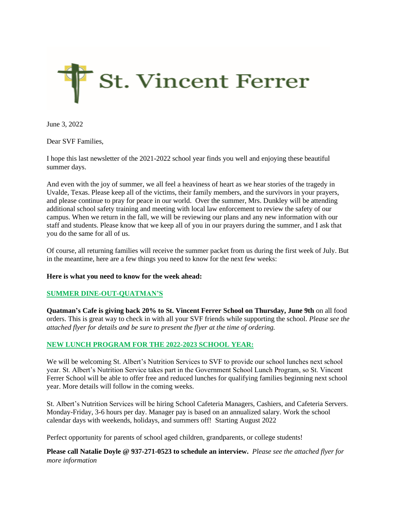

June 3, 2022

Dear SVF Families,

I hope this last newsletter of the 2021-2022 school year finds you well and enjoying these beautiful summer days.

And even with the joy of summer, we all feel a heaviness of heart as we hear stories of the tragedy in Uvalde, Texas. Please keep all of the victims, their family members, and the survivors in your prayers, and please continue to pray for peace in our world. Over the summer, Mrs. Dunkley will be attending additional school safety training and meeting with local law enforcement to review the safety of our campus. When we return in the fall, we will be reviewing our plans and any new information with our staff and students. Please know that we keep all of you in our prayers during the summer, and I ask that you do the same for all of us.

Of course, all returning families will receive the summer packet from us during the first week of July. But in the meantime, here are a few things you need to know for the next few weeks:

#### **Here is what you need to know for the week ahead:**

#### **SUMMER DINE-OUT-QUATMAN'S**

**Quatman's Cafe is giving back 20% to St. Vincent Ferrer School on Thursday, June 9th** on all food orders. This is great way to check in with all your SVF friends while supporting the school. *Please see the attached flyer for details and be sure to present the flyer at the time of ordering.* 

## **NEW LUNCH PROGRAM FOR THE 2022-2023 SCHOOL YEAR:**

We will be welcoming St. Albert's Nutrition Services to SVF to provide our school lunches next school year. St. Albert's Nutrition Service takes part in the Government School Lunch Program, so St. Vincent Ferrer School will be able to offer free and reduced lunches for qualifying families beginning next school year. More details will follow in the coming weeks.

St. Albert's Nutrition Services will be hiring School Cafeteria Managers, Cashiers, and Cafeteria Servers. Monday-Friday, 3-6 hours per day. Manager pay is based on an annualized salary. Work the school calendar days with weekends, holidays, and summers off! Starting August 2022

Perfect opportunity for parents of school aged children, grandparents, or college students!

**Please call Natalie Doyle @ 937-271-0523 to schedule an interview.** *Please see the attached flyer for more information*